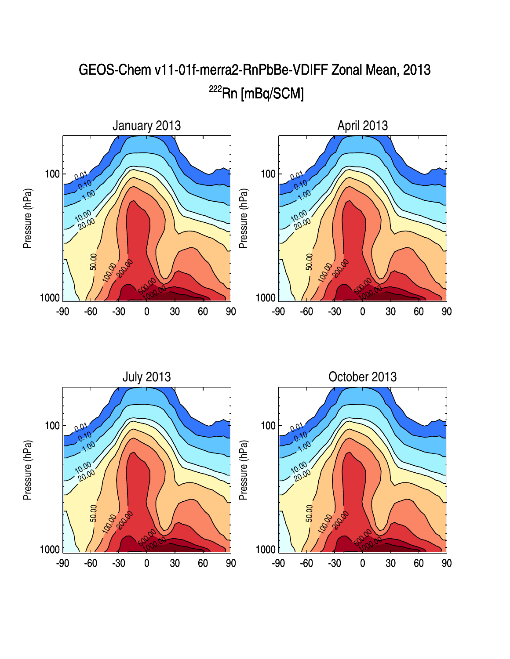

## GEOS-Chem v11-01f-merra2-RnPbBe-VDIFF Zonal Mean, 2013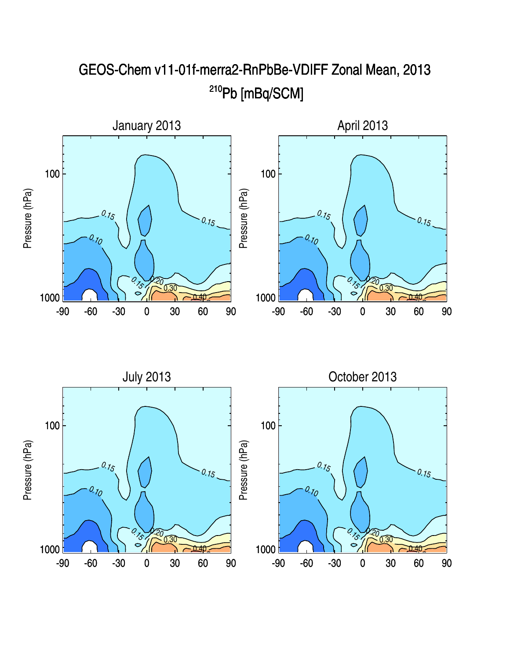

## GEOS-Chem v11-01f-merra2-RnPbBe-VDIFF Zonal Mean, 2013